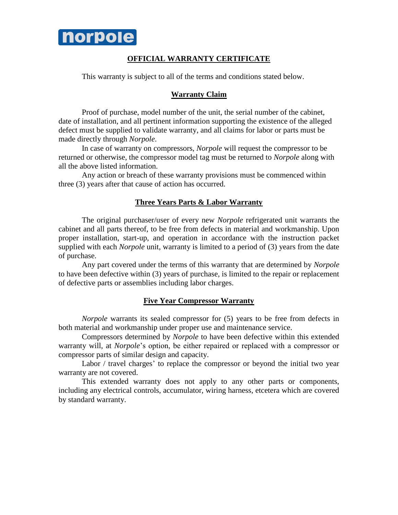

### **OFFICIAL WARRANTY CERTIFICATE**

This warranty is subject to all of the terms and conditions stated below.

#### **Warranty Claim**

Proof of purchase, model number of the unit, the serial number of the cabinet, date of installation, and all pertinent information supporting the existence of the alleged defect must be supplied to validate warranty, and all claims for labor or parts must be made directly through *Norpole*.

In case of warranty on compressors, *Norpole* will request the compressor to be returned or otherwise, the compressor model tag must be returned to *Norpole* along with all the above listed information.

Any action or breach of these warranty provisions must be commenced within three (3) years after that cause of action has occurred.

#### **Three Years Parts & Labor Warranty**

The original purchaser/user of every new *Norpole* refrigerated unit warrants the cabinet and all parts thereof, to be free from defects in material and workmanship. Upon proper installation, start-up, and operation in accordance with the instruction packet supplied with each *Norpole* unit, warranty is limited to a period of (3) years from the date of purchase.

Any part covered under the terms of this warranty that are determined by *Norpole* to have been defective within (3) years of purchase, is limited to the repair or replacement of defective parts or assemblies including labor charges.

#### **Five Year Compressor Warranty**

*Norpole* warrants its sealed compressor for  $(5)$  years to be free from defects in both material and workmanship under proper use and maintenance service.

Compressors determined by *Norpole* to have been defective within this extended warranty will, at *Norpole*'s option, be either repaired or replaced with a compressor or compressor parts of similar design and capacity.

Labor / travel charges' to replace the compressor or beyond the initial two year warranty are not covered.

This extended warranty does not apply to any other parts or components, including any electrical controls, accumulator, wiring harness, etcetera which are covered by standard warranty.